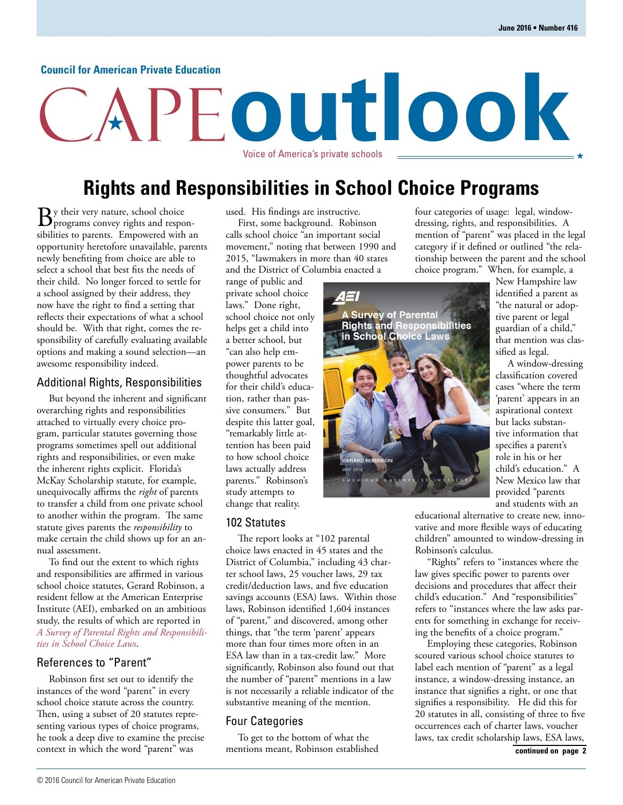#### **Council for American Private Education**

# **outlook** Voice of America's private schools

## **Rights and Responsibilities in School Choice Programs**

 $\mathbf{B}$ y their very nature, school choice<br>programs convey rights and responsibilities to parents. Empowered with an opportunity heretofore unavailable, parents newly benefiting from choice are able to select a school that best fits the needs of their child. No longer forced to settle for a school assigned by their address, they now have the right to find a setting that reflects their expectations of what a school should be. With that right, comes the responsibility of carefully evaluating available options and making a sound selection—an awesome responsibility indeed.

#### Additional Rights, Responsibilities

But beyond the inherent and significant overarching rights and responsibilities attached to virtually every choice program, particular statutes governing those programs sometimes spell out additional rights and responsibilities, or even make the inherent rights explicit. Florida's McKay Scholarship statute, for example, unequivocally affirms the *right* of parents to transfer a child from one private school to another within the program. The same statute gives parents the *responsibility* to make certain the child shows up for an annual assessment.

To find out the extent to which rights and responsibilities are affirmed in various school choice statutes, Gerard Robinson, a resident fellow at the American Enterprise Institute (AEI), embarked on an ambitious study, the results of which are reported in *[A Survey of Parental Rights and Responsibili](https://www.aei.org/publication/a-survey-of-parental-rights-and-responsibilities-in-school-choice-laws/)ties in School Choice Laws*.

#### References to "Parent"

Robinson first set out to identify the instances of the word "parent" in every school choice statute across the country. Then, using a subset of 20 statutes representing various types of choice programs, he took a deep dive to examine the precise context in which the word "parent" was

used. His findings are instructive.

First, some background. Robinson calls school choice "an important social movement," noting that between 1990 and 2015, "lawmakers in more than 40 states and the District of Columbia enacted a

range of public and private school choice laws." Done right, school choice not only helps get a child into a better school, but "can also help empower parents to be thoughtful advocates for their child's education, rather than passive consumers." But despite this latter goal, "remarkably little attention has been paid to how school choice laws actually address parents." Robinson's study attempts to change that reality.

#### 102 Statutes

The report looks at "102 parental choice laws enacted in 45 states and the District of Columbia," including 43 charter school laws, 25 voucher laws, 29 tax credit/deduction laws, and five education savings accounts (ESA) laws. Within those laws, Robinson identified 1,604 instances of "parent," and discovered, among other things, that "the term 'parent' appears more than four times more often in an ESA law than in a tax-credit law." More significantly, Robinson also found out that the number of "parent" mentions in a law is not necessarily a reliable indicator of the substantive meaning of the mention.

#### Four Categories

To get to the bottom of what the mentions meant, Robinson established four categories of usage: legal, windowdressing, rights, and responsibilities. A mention of "parent" was placed in the legal category if it defined or outlined "the relationship between the parent and the school choice program." When, for example, a



New Hampshire law identified a parent as "the natural or adoptive parent or legal guardian of a child," that mention was classified as legal.

A window-dressing classification covered cases "where the term 'parent' appears in an aspirational context but lacks substantive information that specifies a parent's role in his or her child's education." A New Mexico law that provided "parents and students with an

educational alternative to create new, innovative and more flexible ways of educating children" amounted to window-dressing in Robinson's calculus.

"Rights" refers to "instances where the law gives specific power to parents over decisions and procedures that affect their child's education." And "responsibilities" refers to "instances where the law asks parents for something in exchange for receiving the benefits of a choice program."

Employing these categories, Robinson scoured various school choice statutes to label each mention of "parent" as a legal instance, a window-dressing instance, an instance that signifies a right, or one that signifies a responsibility. He did this for 20 statutes in all, consisting of three to five occurrences each of charter laws, voucher laws, tax credit scholarship laws, ESA laws,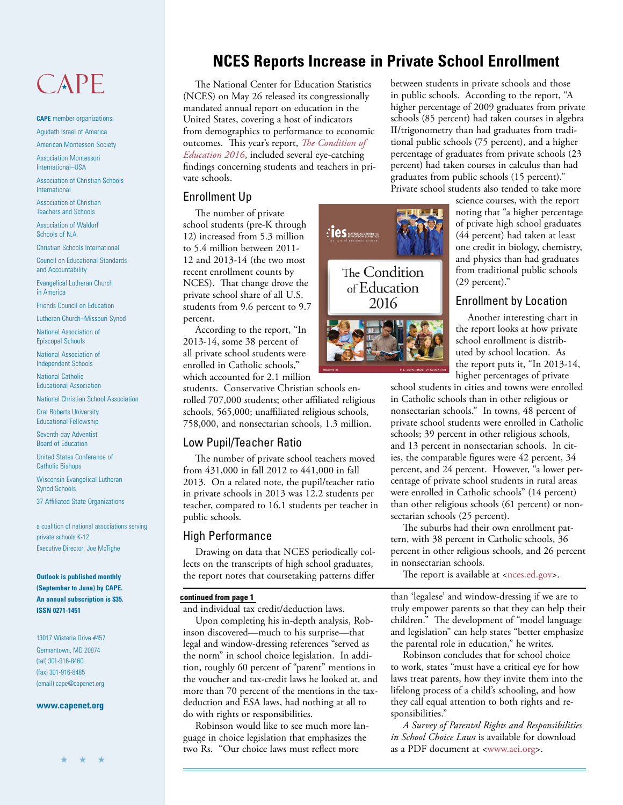## CAPE

**CAPE** member organizations: Agudath Israel of America

American Montessori Society

Association Montessori International–USA

Association of Christian Schools International

Association of Christian Teachers and Schools

Association of Waldorf Schools of N.A.

Christian Schools International

Council on Educational Standards and Accountability

Evangelical Lutheran Church in America

Friends Council on Education

Lutheran Church–Missouri Synod

National Association of Episcopal Schools

National Association of Independent Schools

National Catholic Educational Association

National Christian School Association

Oral Roberts University Educational Fellowship

Seventh-day Adventist Board of Education

United States Conference of Catholic Bishops

Wisconsin Evangelical Lutheran Synod Schools

37 Affiliated State Organizations

a coalition of national associations serving private schools K-12 Executive Director: Joe McTighe

**Outlook is published monthly (September to June) by CAPE. An annual subscription is \$35. ISSN 0271-1451**

13017 Wisteria Drive #457 Germantown, MD 20874 (tel) 301-916-8460 (fax) 301-916-8485 (email) cape@capenet.org

#### **www.capenet.org**

## **NCES Reports Increase in Private School Enrollment**

The National Center for Education Statistics (NCES) on May 26 released its congressionally mandated annual report on education in the United States, covering a host of indicators from demographics to performance to economic outcomes. This year's report, *The Condition of Education 2016*[, included several eye-catching](http://nces.ed.gov/programs/coe/)  findings concerning students and teachers in private schools.

#### Enrollment Up

The number of private school students (pre-K through 12) increased from 5.3 million to 5.4 million between 2011- 12 and 2013-14 (the two most recent enrollment counts by NCES). That change drove the private school share of all U.S. students from 9.6 percent to 9.7 percent.

According to the report, "In 2013-14, some 38 percent of all private school students were enrolled in Catholic schools," which accounted for 2.1 million

students. Conservative Christian schools enrolled 707,000 students; other affiliated religious schools, 565,000; unaffiliated religious schools, 758,000, and nonsectarian schools, 1.3 million.

#### Low Pupil/Teacher Ratio

The number of private school teachers moved from 431,000 in fall 2012 to 441,000 in fall 2013. On a related note, the pupil/teacher ratio in private schools in 2013 was 12.2 students per teacher, compared to 16.1 students per teacher in public schools.

#### High Performance

Drawing on data that NCES periodically collects on the transcripts of high school graduates, the report notes that coursetaking patterns differ

#### **continued from page 1**

and individual tax credit/deduction laws.

Upon completing his in-depth analysis, Robinson discovered—much to his surprise—that legal and window-dressing references "served as the norm" in school choice legislation. In addition, roughly 60 percent of "parent" mentions in the voucher and tax-credit laws he looked at, and more than 70 percent of the mentions in the taxdeduction and ESA laws, had nothing at all to do with rights or responsibilities.

Robinson would like to see much more language in choice legislation that emphasizes the two Rs. "Our choice laws must reflect more



between students in private schools and those in public schools. According to the report, "A higher percentage of 2009 graduates from private schools (85 percent) had taken courses in algebra II/trigonometry than had graduates from traditional public schools (75 percent), and a higher percentage of graduates from private schools (23 percent) had taken courses in calculus than had graduates from public schools (15 percent)."

Private school students also tended to take more

science courses, with the report noting that "a higher percentage of private high school graduates (44 percent) had taken at least one credit in biology, chemistry, and physics than had graduates from traditional public schools (29 percent)."

#### Enrollment by Location

Another interesting chart in the report looks at how private school enrollment is distributed by school location. As the report puts it, "In 2013-14, higher percentages of private

school students in cities and towns were enrolled in Catholic schools than in other religious or nonsectarian schools." In towns, 48 percent of private school students were enrolled in Catholic schools; 39 percent in other religious schools, and 13 percent in nonsectarian schools. In cities, the comparable figures were 42 percent, 34 percent, and 24 percent. However, "a lower percentage of private school students in rural areas were enrolled in Catholic schools" (14 percent) than other religious schools (61 percent) or nonsectarian schools (25 percent).

The suburbs had their own enrollment pattern, with 38 percent in Catholic schools, 36 percent in other religious schools, and 26 percent in nonsectarian schools.

The report is available at [<nces.ed.gov>.](http://nces.ed.gov/programs/coe/)

than 'legalese' and window-dressing if we are to truly empower parents so that they can help their children." The development of "model language and legislation" can help states "better emphasize the parental role in education," he writes.

Robinson concludes that for school choice to work, states "must have a critical eye for how laws treat parents, how they invite them into the lifelong process of a child's schooling, and how they call equal attention to both rights and responsibilities."

*A Survey of Parental Rights and Responsibilities in School Choice Laws* is available for download as a PDF document a[t <www.aei.org>.](https://www.aei.org/publication/a-survey-of-parental-rights-and-responsibilities-in-school-choice-laws/)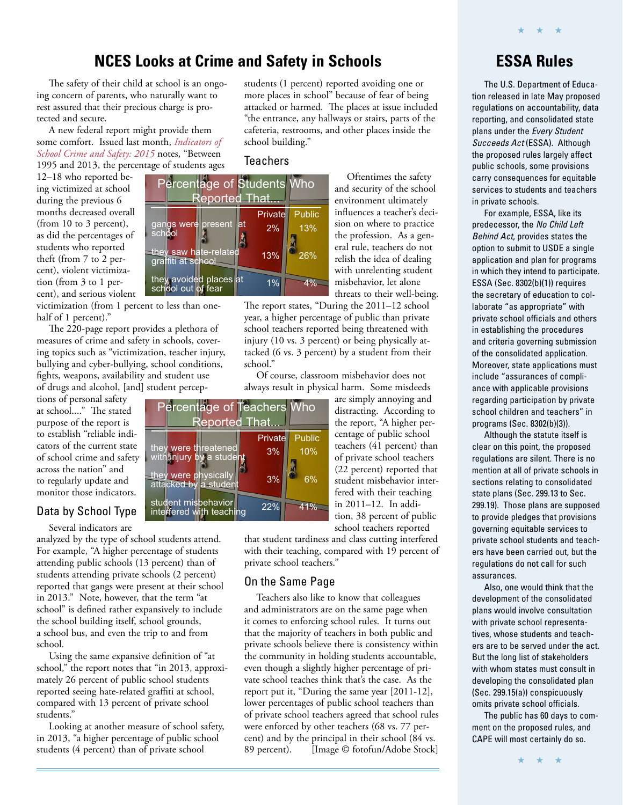### **NCES Looks at Crime and Safety in Schools**

The safety of their child at school is an ongoing concern of parents, who naturally want to rest assured that their precious charge is protected and secure.

A new federal report might provide them [some comfort. Issued last month,](http://nces.ed.gov/programs/crimeindicators/) *Indicators of School Crime and Safety: 2015* notes, "Between 1995 and 2013, the percentage of students ages

12–18 who reported being victimized at school during the previous 6 months decreased overall (from 10 to 3 percent), as did the percentages of students who reported theft (from 7 to 2 percent), violent victimization (from 3 to 1 percent), and serious violent

victimization (from 1 percent to less than onehalf of 1 percent)."

The 220-page report provides a plethora of measures of crime and safety in schools, covering topics such as "victimization, teacher injury, bullying and cyber-bullying, school conditions, fights, weapons, availability and student use of drugs and alcohol, [and] student percep-

tions of personal safety at school...." The stated purpose of the report is to establish "reliable indicators of the current state of school crime and safety across the nation" and to regularly update and monitor those indicators.

#### Data by School Type

Several indicators are analyzed by the type of school students attend. For example, "A higher percentage of students attending public schools (13 percent) than of students attending private schools (2 percent) reported that gangs were present at their school in 2013." Note, however, that the term "at school" is defined rather expansively to include the school building itself, school grounds, a school bus, and even the trip to and from school.

Using the same expansive definition of "at school," the report notes that "in 2013, approximately 26 percent of public school students reported seeing hate-related graffiti at school, compared with 13 percent of private school students."

Looking at another measure of school safety, in 2013, "a higher percentage of public school students (4 percent) than of private school

students (1 percent) reported avoiding one or more places in school" because of fear of being attacked or harmed. The places at issue included "the entrance, any hallways or stairs, parts of the cafeteria, restrooms, and other places inside the school building."

#### **Teachers**



Oftentimes the safety and security of the school environment ultimately influences a teacher's decision on where to practice the profession. As a general rule, teachers do not relish the idea of dealing with unrelenting student misbehavior, let alone threats to their well-being.

The report states, "During the 2011–12 school year, a higher percentage of public than private school teachers reported being threatened with injury (10 vs. 3 percent) or being physically attacked (6 vs. 3 percent) by a student from their school."

Of course, classroom misbehavior does not always result in physical harm. Some misdeeds



are simply annoying and distracting. According to the report, "A higher percentage of public school teachers (41 percent) than of private school teachers (22 percent) reported that student misbehavior interfered with their teaching in 2011–12. In addition, 38 percent of public school teachers reported

that student tardiness and class cutting interfered with their teaching, compared with 19 percent of private school teachers."

#### On the Same Page

Teachers also like to know that colleagues and administrators are on the same page when it comes to enforcing school rules. It turns out that the majority of teachers in both public and private schools believe there is consistency within the community in holding students accountable, even though a slightly higher percentage of private school teaches think that's the case. As the report put it, "During the same year [2011-12], lower percentages of public school teachers than of private school teachers agreed that school rules were enforced by other teachers (68 vs. 77 percent) and by the principal in their school (84 vs.<br>89 percent). [Image © fotofun/Adobe Stock [Image © fotofun/Adobe Stock]

## **ESSA Rules**

★ ★ ★

The U.S. Department of Education released in late May proposed regulations on accountability, data reporting, and consolidated state plans under the Every Student Succeeds Act (ESSA). Although the proposed rules largely affect public schools, some provisions carry consequences for equitable services to students and teachers in private schools.

For example, ESSA, like its predecessor, the No Child Left Behind Act, provides states the option to submit to USDE a single application and plan for programs in which they intend to participate. ESSA (Sec. 8302(b)(1)) requires the secretary of education to collaborate "as appropriate" with private school officials and others in establishing the procedures and criteria governing submission of the consolidated application. Moreover, state applications must include "assurances of compliance with applicable provisions regarding participation by private school children and teachers" in programs (Sec. 8302(b)(3)).

Although the statute itself is clear on this point, the proposed regulations are silent. There is no mention at all of private schools in sections relating to consolidated state plans (Sec. 299.13 to Sec. 299.19). Those plans are supposed to provide pledges that provisions governing equitable services to private school students and teachers have been carried out, but the regulations do not call for such assurances.

Also, one would think that the development of the consolidated plans would involve consultation with private school representatives, whose students and teachers are to be served under the act. But the long list of stakeholders with whom states must consult in developing the consolidated plan (Sec. 299.15(a)) conspicuously omits private school officials.

The public has 60 days to comment on the proposed rules, and CAPE will most certainly do so.

★ ★ ★